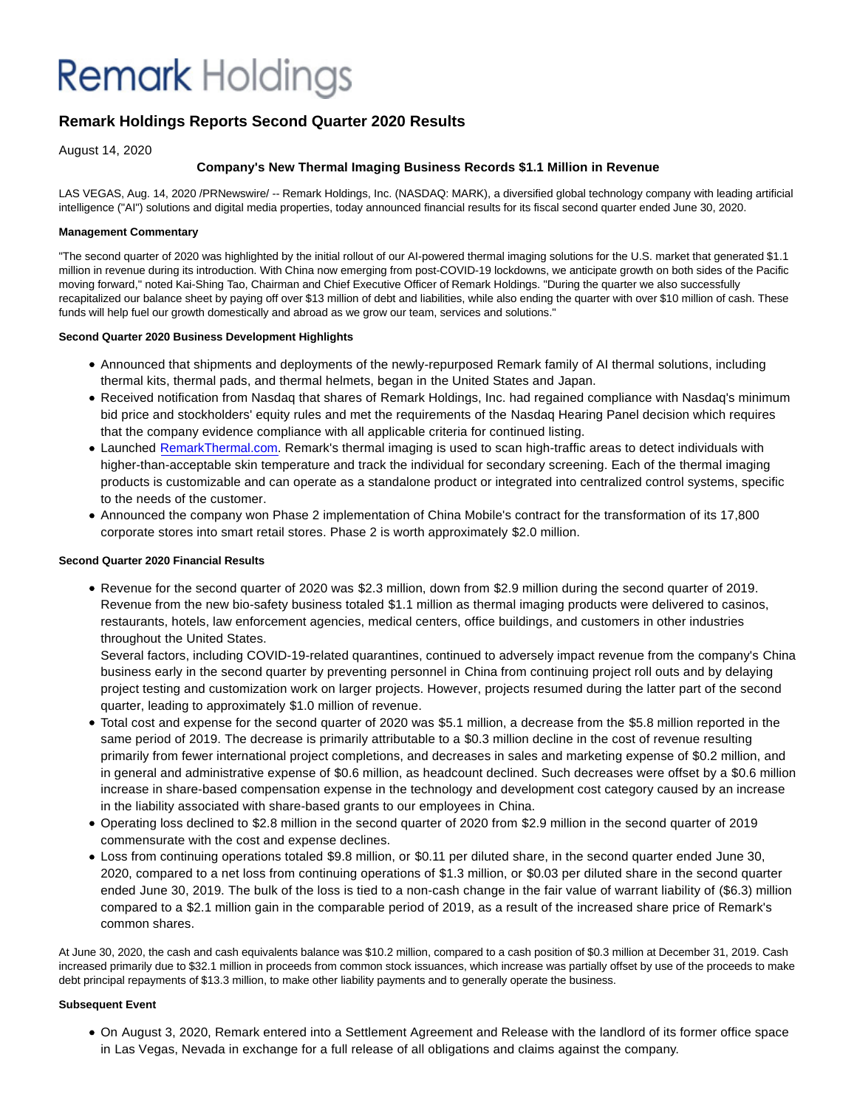## **Remark** Holdings

### **Remark Holdings Reports Second Quarter 2020 Results**

August 14, 2020

#### **Company's New Thermal Imaging Business Records \$1.1 Million in Revenue**

LAS VEGAS, Aug. 14, 2020 /PRNewswire/ -- Remark Holdings, Inc. (NASDAQ: MARK), a diversified global technology company with leading artificial intelligence ("AI") solutions and digital media properties, today announced financial results for its fiscal second quarter ended June 30, 2020.

#### **Management Commentary**

"The second quarter of 2020 was highlighted by the initial rollout of our AI-powered thermal imaging solutions for the U.S. market that generated \$1.1 million in revenue during its introduction. With China now emerging from post-COVID-19 lockdowns, we anticipate growth on both sides of the Pacific moving forward," noted Kai-Shing Tao, Chairman and Chief Executive Officer of Remark Holdings. "During the quarter we also successfully recapitalized our balance sheet by paying off over \$13 million of debt and liabilities, while also ending the quarter with over \$10 million of cash. These funds will help fuel our growth domestically and abroad as we grow our team, services and solutions."

#### **Second Quarter 2020 Business Development Highlights**

- Announced that shipments and deployments of the newly-repurposed Remark family of AI thermal solutions, including thermal kits, thermal pads, and thermal helmets, began in the United States and Japan.
- Received notification from Nasdaq that shares of Remark Holdings, Inc. had regained compliance with Nasdaq's minimum bid price and stockholders' equity rules and met the requirements of the Nasdaq Hearing Panel decision which requires that the company evidence compliance with all applicable criteria for continued listing.
- Launched [RemarkThermal.com.](https://c212.net/c/link/?t=0&l=en&o=2885916-1&h=3956199577&u=http%3A%2F%2Fwww.remarkthermal.com%2F&a=RemarkThermal.com) Remark's thermal imaging is used to scan high-traffic areas to detect individuals with higher-than-acceptable skin temperature and track the individual for secondary screening. Each of the thermal imaging products is customizable and can operate as a standalone product or integrated into centralized control systems, specific to the needs of the customer.
- Announced the company won Phase 2 implementation of China Mobile's contract for the transformation of its 17,800 corporate stores into smart retail stores. Phase 2 is worth approximately \$2.0 million.

#### **Second Quarter 2020 Financial Results**

Revenue for the second quarter of 2020 was \$2.3 million, down from \$2.9 million during the second quarter of 2019. Revenue from the new bio-safety business totaled \$1.1 million as thermal imaging products were delivered to casinos, restaurants, hotels, law enforcement agencies, medical centers, office buildings, and customers in other industries throughout the United States.

Several factors, including COVID-19-related quarantines, continued to adversely impact revenue from the company's China business early in the second quarter by preventing personnel in China from continuing project roll outs and by delaying project testing and customization work on larger projects. However, projects resumed during the latter part of the second quarter, leading to approximately \$1.0 million of revenue.

- Total cost and expense for the second quarter of 2020 was \$5.1 million, a decrease from the \$5.8 million reported in the same period of 2019. The decrease is primarily attributable to a \$0.3 million decline in the cost of revenue resulting primarily from fewer international project completions, and decreases in sales and marketing expense of \$0.2 million, and in general and administrative expense of \$0.6 million, as headcount declined. Such decreases were offset by a \$0.6 million increase in share-based compensation expense in the technology and development cost category caused by an increase in the liability associated with share-based grants to our employees in China.
- Operating loss declined to \$2.8 million in the second quarter of 2020 from \$2.9 million in the second quarter of 2019 commensurate with the cost and expense declines.
- Loss from continuing operations totaled \$9.8 million, or \$0.11 per diluted share, in the second quarter ended June 30, 2020, compared to a net loss from continuing operations of \$1.3 million, or \$0.03 per diluted share in the second quarter ended June 30, 2019. The bulk of the loss is tied to a non-cash change in the fair value of warrant liability of (\$6.3) million compared to a \$2.1 million gain in the comparable period of 2019, as a result of the increased share price of Remark's common shares.

At June 30, 2020, the cash and cash equivalents balance was \$10.2 million, compared to a cash position of \$0.3 million at December 31, 2019. Cash increased primarily due to \$32.1 million in proceeds from common stock issuances, which increase was partially offset by use of the proceeds to make debt principal repayments of \$13.3 million, to make other liability payments and to generally operate the business.

#### **Subsequent Event**

On August 3, 2020, Remark entered into a Settlement Agreement and Release with the landlord of its former office space in Las Vegas, Nevada in exchange for a full release of all obligations and claims against the company.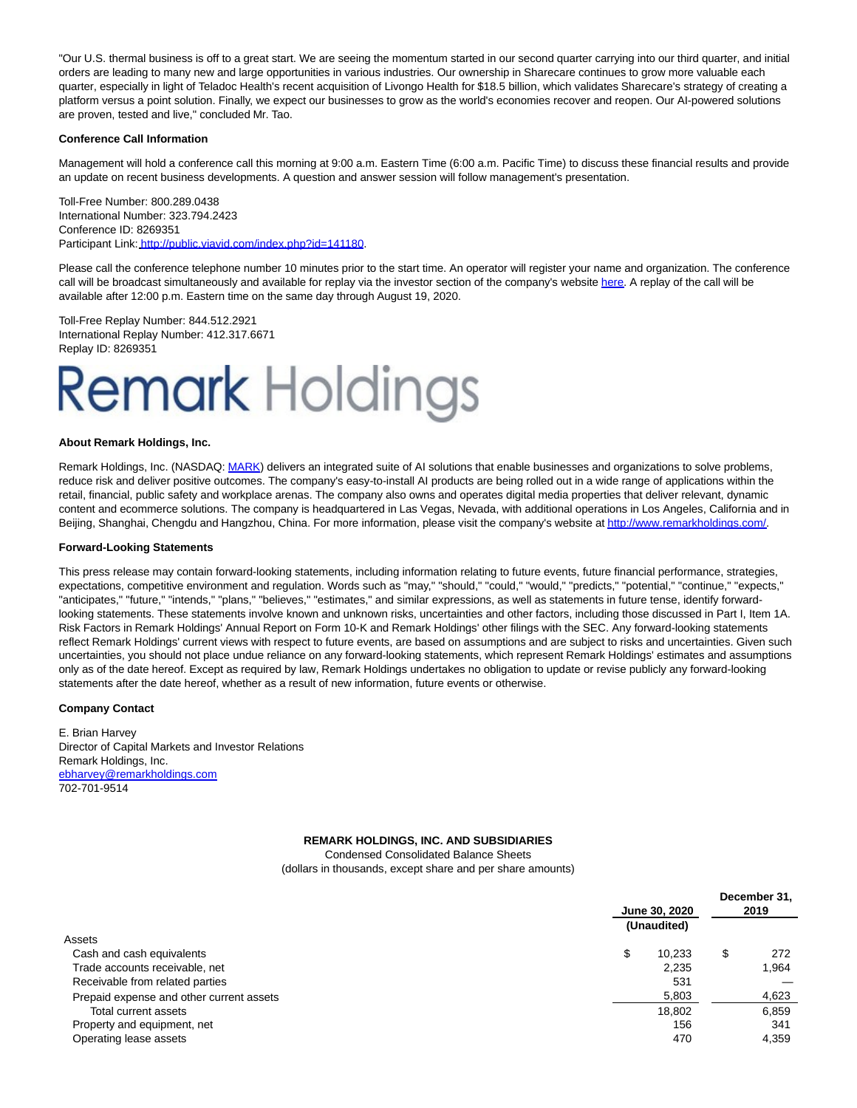"Our U.S. thermal business is off to a great start. We are seeing the momentum started in our second quarter carrying into our third quarter, and initial orders are leading to many new and large opportunities in various industries. Our ownership in Sharecare continues to grow more valuable each quarter, especially in light of Teladoc Health's recent acquisition of Livongo Health for \$18.5 billion, which validates Sharecare's strategy of creating a platform versus a point solution. Finally, we expect our businesses to grow as the world's economies recover and reopen. Our AI-powered solutions are proven, tested and live," concluded Mr. Tao.

#### **Conference Call Information**

Management will hold a conference call this morning at 9:00 a.m. Eastern Time (6:00 a.m. Pacific Time) to discuss these financial results and provide an update on recent business developments. A question and answer session will follow management's presentation.

Toll-Free Number: 800.289.0438 International Number: 323.794.2423 Conference ID: 8269351 Participant Link: [http://public.viavid.com/index.php?id=141180.](https://c212.net/c/link/?t=0&l=en&o=2885916-1&h=3090170457&u=http%3A%2F%2Fpublic.viavid.com%2Findex.php%3Fid%3D141180&a=http%3A%2F%2Fpublic.viavid.com%2Findex.php%3Fid%3D141180)

Please call the conference telephone number 10 minutes prior to the start time. An operator will register your name and organization. The conference call will be broadcast simultaneously and available for replay via the investor section of the company's website [here.](https://c212.net/c/link/?t=0&l=en&o=2885916-1&h=4262871112&u=http%3A%2F%2Fwww.remarkholdings.com%2F&a=here) A replay of the call will be available after 12:00 p.m. Eastern time on the same day through August 19, 2020.

Toll-Free Replay Number: 844.512.2921 International Replay Number: 412.317.6671 Replay ID: 8269351

# **Remark Holdings**

#### **About Remark Holdings, Inc.**

Remark Holdings, Inc. (NASDAQ: [MARK\)](https://c212.net/c/link/?t=0&l=en&o=2885916-1&h=3523446090&u=http%3A%2F%2Fwww.remarkholdings.com%2F&a=MARK) delivers an integrated suite of AI solutions that enable businesses and organizations to solve problems, reduce risk and deliver positive outcomes. The company's easy-to-install AI products are being rolled out in a wide range of applications within the retail, financial, public safety and workplace arenas. The company also owns and operates digital media properties that deliver relevant, dynamic content and ecommerce solutions. The company is headquartered in Las Vegas, Nevada, with additional operations in Los Angeles, California and in Beijing, Shanghai, Chengdu and Hangzhou, China. For more information, please visit the company's website a[t http://www.remarkholdings.com/.](https://c212.net/c/link/?t=0&l=en&o=2885916-1&h=508860228&u=http%3A%2F%2Fwww.remarkholdings.com%2F&a=http%3A%2F%2Fwww.remarkholdings.com%2F)

#### **Forward-Looking Statements**

This press release may contain forward-looking statements, including information relating to future events, future financial performance, strategies, expectations, competitive environment and regulation. Words such as "may," "should," "could," "would," "predicts," "potential," "continue," "expects," "anticipates," "future," "intends," "plans," "believes," "estimates," and similar expressions, as well as statements in future tense, identify forwardlooking statements. These statements involve known and unknown risks, uncertainties and other factors, including those discussed in Part I, Item 1A. Risk Factors in Remark Holdings' Annual Report on Form 10-K and Remark Holdings' other filings with the SEC. Any forward-looking statements reflect Remark Holdings' current views with respect to future events, are based on assumptions and are subject to risks and uncertainties. Given such uncertainties, you should not place undue reliance on any forward-looking statements, which represent Remark Holdings' estimates and assumptions only as of the date hereof. Except as required by law, Remark Holdings undertakes no obligation to update or revise publicly any forward-looking statements after the date hereof, whether as a result of new information, future events or otherwise.

#### **Company Contact**

E. Brian Harvey Director of Capital Markets and Investor Relations Remark Holdings, Inc. [ebharvey@remarkholdings.com](mailto:ebharvey@remarkholdings.com) 702-701-9514

#### **REMARK HOLDINGS, INC. AND SUBSIDIARIES**

Condensed Consolidated Balance Sheets (dollars in thousands, except share and per share amounts)

|                                          | June 30, 2020 |             |    | December 31,<br>2019 |  |  |
|------------------------------------------|---------------|-------------|----|----------------------|--|--|
|                                          |               | (Unaudited) |    |                      |  |  |
| Assets                                   |               |             |    |                      |  |  |
| Cash and cash equivalents                | \$            | 10.233      | \$ | 272                  |  |  |
| Trade accounts receivable, net           |               | 2.235       |    | 1.964                |  |  |
| Receivable from related parties          |               | 531         |    |                      |  |  |
| Prepaid expense and other current assets |               | 5,803       |    | 4,623                |  |  |
| Total current assets                     |               | 18,802      |    | 6,859                |  |  |
| Property and equipment, net              |               | 156         |    | 341                  |  |  |
| Operating lease assets                   |               | 470         |    | 4.359                |  |  |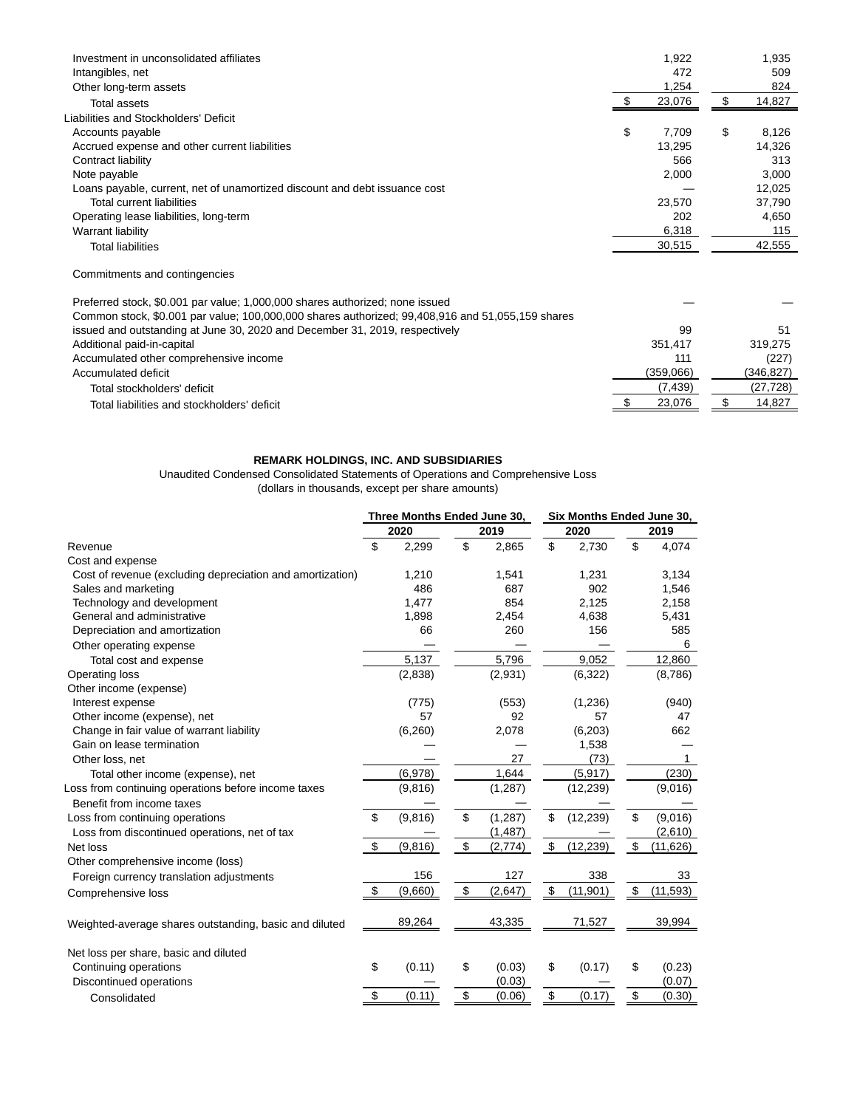| Investment in unconsolidated affiliates                                                          | 1,922       | 1,935       |
|--------------------------------------------------------------------------------------------------|-------------|-------------|
| Intangibles, net                                                                                 | 472         | 509         |
| Other long-term assets                                                                           | 1,254       | 824         |
| <b>Total assets</b>                                                                              | 23,076      | 14,827      |
| Liabilities and Stockholders' Deficit                                                            |             |             |
| Accounts payable                                                                                 | \$<br>7.709 | \$<br>8,126 |
| Accrued expense and other current liabilities                                                    | 13,295      | 14,326      |
| Contract liability                                                                               | 566         | 313         |
| Note payable                                                                                     | 2,000       | 3,000       |
| Loans payable, current, net of unamortized discount and debt issuance cost                       |             | 12,025      |
| <b>Total current liabilities</b>                                                                 | 23,570      | 37,790      |
| Operating lease liabilities, long-term                                                           | 202         | 4,650       |
| Warrant liability                                                                                | 6,318       | 115         |
| <b>Total liabilities</b>                                                                         | 30,515      | 42,555      |
| Commitments and contingencies                                                                    |             |             |
| Preferred stock, \$0.001 par value; 1,000,000 shares authorized; none issued                     |             |             |
| Common stock, \$0.001 par value; 100,000,000 shares authorized; 99,408,916 and 51,055,159 shares |             |             |
| issued and outstanding at June 30, 2020 and December 31, 2019, respectively                      | 99          | 51          |
| Additional paid-in-capital                                                                       | 351,417     | 319,275     |
|                                                                                                  |             |             |

| Accumulated other comprehensive income      | $11^{\circ}$ | (227)     |
|---------------------------------------------|--------------|-----------|
| Accumulated deficit                         | (359.066)    | (346.827) |
| Total stockholders' deficit                 | 439.         |           |
| Total liabilities and stockholders' deficit | 23.076       | 14.827    |
|                                             |              |           |

#### **REMARK HOLDINGS, INC. AND SUBSIDIARIES**

Unaudited Condensed Consolidated Statements of Operations and Comprehensive Loss (dollars in thousands, except per share amounts)

|                                                           | Three Months Ended June 30, |          |      | Six Months Ended June 30, |      |           |      |           |
|-----------------------------------------------------------|-----------------------------|----------|------|---------------------------|------|-----------|------|-----------|
|                                                           | 2020                        |          | 2019 |                           | 2020 |           | 2019 |           |
| Revenue                                                   | \$                          | 2,299    | \$   | 2,865                     | \$   | 2,730     | \$   | 4,074     |
| Cost and expense                                          |                             |          |      |                           |      |           |      |           |
| Cost of revenue (excluding depreciation and amortization) |                             | 1,210    |      | 1,541                     |      | 1,231     |      | 3,134     |
| Sales and marketing                                       |                             | 486      |      | 687                       |      | 902       |      | 1,546     |
| Technology and development                                |                             | 1,477    |      | 854                       |      | 2,125     |      | 2,158     |
| General and administrative                                |                             | 1,898    |      | 2,454                     |      | 4,638     |      | 5,431     |
| Depreciation and amortization                             |                             | 66       |      | 260                       |      | 156       |      | 585       |
| Other operating expense                                   |                             |          |      |                           |      |           |      | 6         |
| Total cost and expense                                    |                             | 5,137    |      | 5,796                     |      | 9,052     |      | 12,860    |
| Operating loss                                            |                             | (2,838)  |      | (2,931)                   |      | (6,322)   |      | (8,786)   |
| Other income (expense)                                    |                             |          |      |                           |      |           |      |           |
| Interest expense                                          |                             | (775)    |      | (553)                     |      | (1, 236)  |      | (940)     |
| Other income (expense), net                               |                             | 57       |      | 92                        |      | 57        |      | 47        |
| Change in fair value of warrant liability                 |                             | (6, 260) |      | 2,078                     |      | (6, 203)  |      | 662       |
| Gain on lease termination                                 |                             |          |      |                           |      | 1,538     |      |           |
| Other loss, net                                           |                             |          |      | 27                        |      | (73)      |      | 1         |
| Total other income (expense), net                         |                             | (6,978)  |      | 1,644                     |      | (5, 917)  |      | (230)     |
| Loss from continuing operations before income taxes       |                             | (9,816)  |      | (1, 287)                  |      | (12, 239) |      | (9,016)   |
| Benefit from income taxes                                 |                             |          |      |                           |      |           |      |           |
| Loss from continuing operations                           | \$                          | (9,816)  | \$   | (1, 287)                  | \$   | (12, 239) | \$   | (9,016)   |
| Loss from discontinued operations, net of tax             |                             |          |      | (1, 487)                  |      |           |      | (2,610)   |
| Net loss                                                  | \$                          | (9,816)  | \$   | (2,774)                   | \$   | (12, 239) | \$   | (11, 626) |
| Other comprehensive income (loss)                         |                             |          |      |                           |      |           |      |           |
| Foreign currency translation adjustments                  |                             | 156      |      | 127                       |      | 338       |      | 33        |
| Comprehensive loss                                        | \$                          | (9,660)  | \$   | (2,647)                   | \$   | (11, 901) | \$   | (11, 593) |
| Weighted-average shares outstanding, basic and diluted    |                             | 89,264   |      | 43,335                    |      | 71,527    |      | 39,994    |
| Net loss per share, basic and diluted                     |                             |          |      |                           |      |           |      |           |
| Continuing operations                                     | \$                          | (0.11)   | \$   | (0.03)                    | \$   | (0.17)    | \$   | (0.23)    |
| Discontinued operations                                   |                             |          |      | (0.03)                    |      |           |      | (0.07)    |
|                                                           | \$                          | (0.11)   | \$   | (0.06)                    | \$   | (0.17)    | \$   | (0.30)    |
| Consolidated                                              |                             |          |      |                           |      |           |      |           |